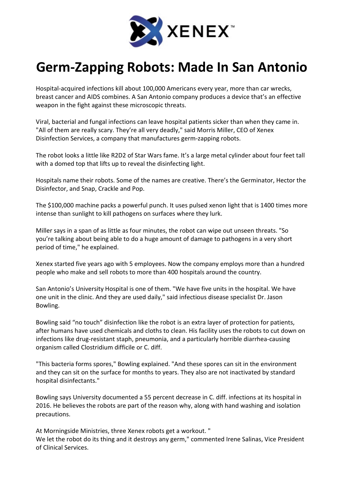

## Germ-Zapping Robots: Made In San Antonio

Hospital-acquired infections kill about 100,000 Americans every year, more than car wrecks, breast cancer and AIDS combines. A San Antonio company produces a device that's an effective weapon in the fight against these microscopic threats.

Viral, bacterial and fungal infections can leave hospital patients sicker than when they came in. "All of them are really scary. They're all very deadly," said Morris Miller, CEO of Xenex Disinfection Services, a company that manufactures germ-zapping robots.

The robot looks a little like R2D2 of Star Wars fame. It's a large metal cylinder about four feet tall with a domed top that lifts up to reveal the disinfecting light.

Hospitals name their robots. Some of the names are creative. There's the Germinator, Hector the Disinfector, and Snap, Crackle and Pop.

The \$100,000 machine packs a powerful punch. It uses pulsed xenon light that is 1400 times more intense than sunlight to kill pathogens on surfaces where they lurk.

Miller says in a span of as little as four minutes, the robot can wipe out unseen threats. "So you're talking about being able to do a huge amount of damage to pathogens in a very short period of time," he explained.

Xenex started five years ago with 5 employees. Now the company employs more than a hundred people who make and sell robots to more than 400 hospitals around the country.

San Antonio's University Hospital is one of them. "We have five units in the hospital. We have one unit in the clinic. And they are used daily," said infectious disease specialist Dr. Jason Bowling.

Bowling said "no touch" disinfection like the robot is an extra layer of protection for patients, after humans have used chemicals and cloths to clean. His facility uses the robots to cut down on infections like drug-resistant staph, pneumonia, and a particularly horrible diarrhea-causing organism called Clostridium difficile or C. diff.

"This bacteria forms spores," Bowling explained. "And these spores can sit in the environment and they can sit on the surface for months to years. They also are not inactivated by standard hospital disinfectants."

Bowling says University documented a 55 percent decrease in C. diff. infections at its hospital in 2016. He believes the robots are part of the reason why, along with hand washing and isolation precautions.

At Morningside Ministries, three Xenex robots get a workout. "

We let the robot do its thing and it destroys any germ," commented Irene Salinas, Vice President of Clinical Services.